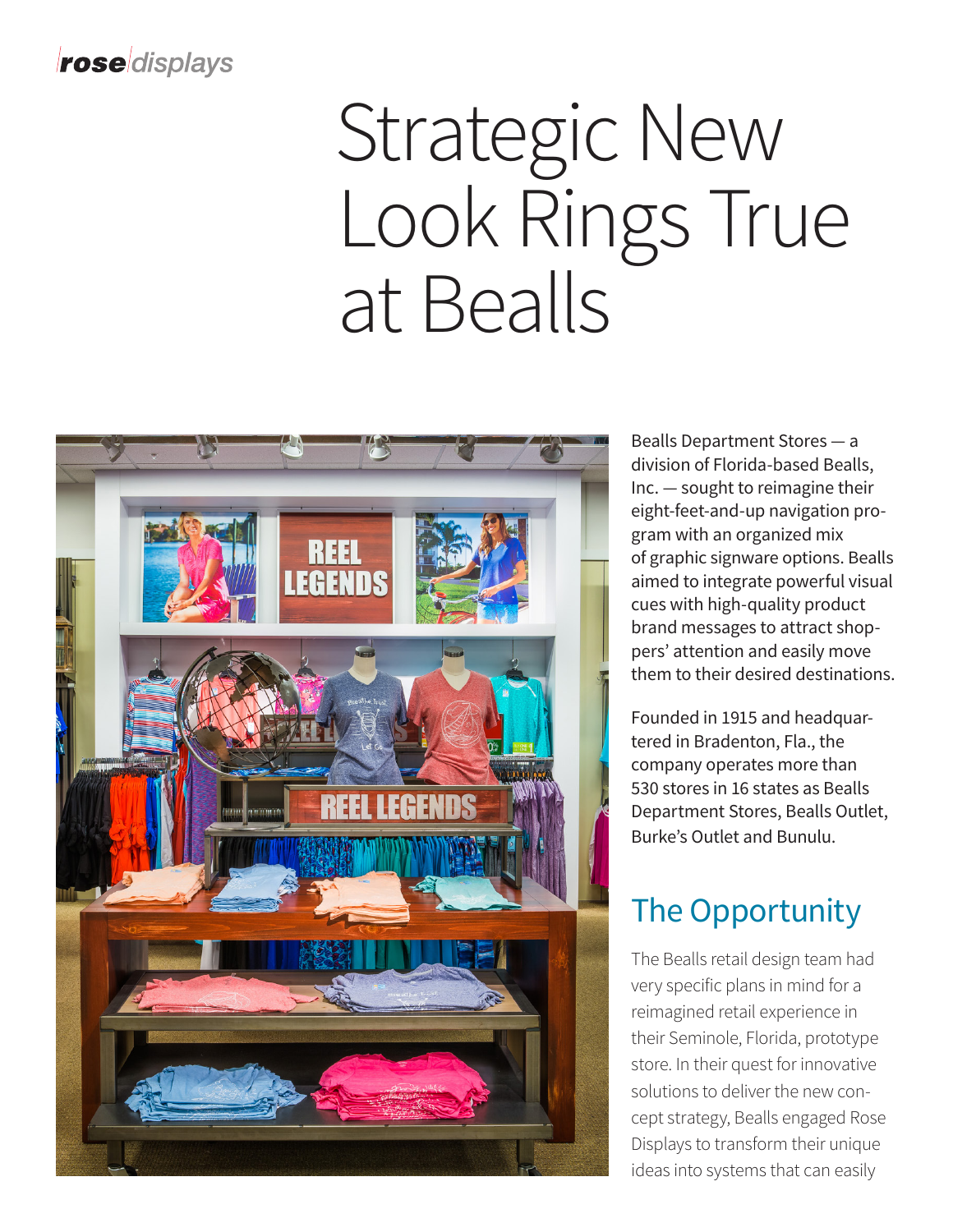#### roseldisplays

# Strategic New Look Rings True at Bealls



Bealls Department Stores — a division of Florida-based Bealls, Inc. — sought to reimagine their eight-feet-and-up navigation program with an organized mix of graphic signware options. Bealls aimed to integrate powerful visual cues with high-quality product brand messages to attract shoppers' attention and easily move them to their desired destinations.

Founded in 1915 and headquartered in Bradenton, Fla., the company operates more than 530 stores in 16 states as Bealls Department Stores, Bealls Outlet, Burke's Outlet and Bunulu.

#### The Opportunity

The Bealls retail design team had very specific plans in mind for a reimagined retail experience in their Seminole, Florida, prototype store. In their quest for innovative solutions to deliver the new concept strategy, Bealls engaged Rose Displays to transform their unique ideas into systems that can easily